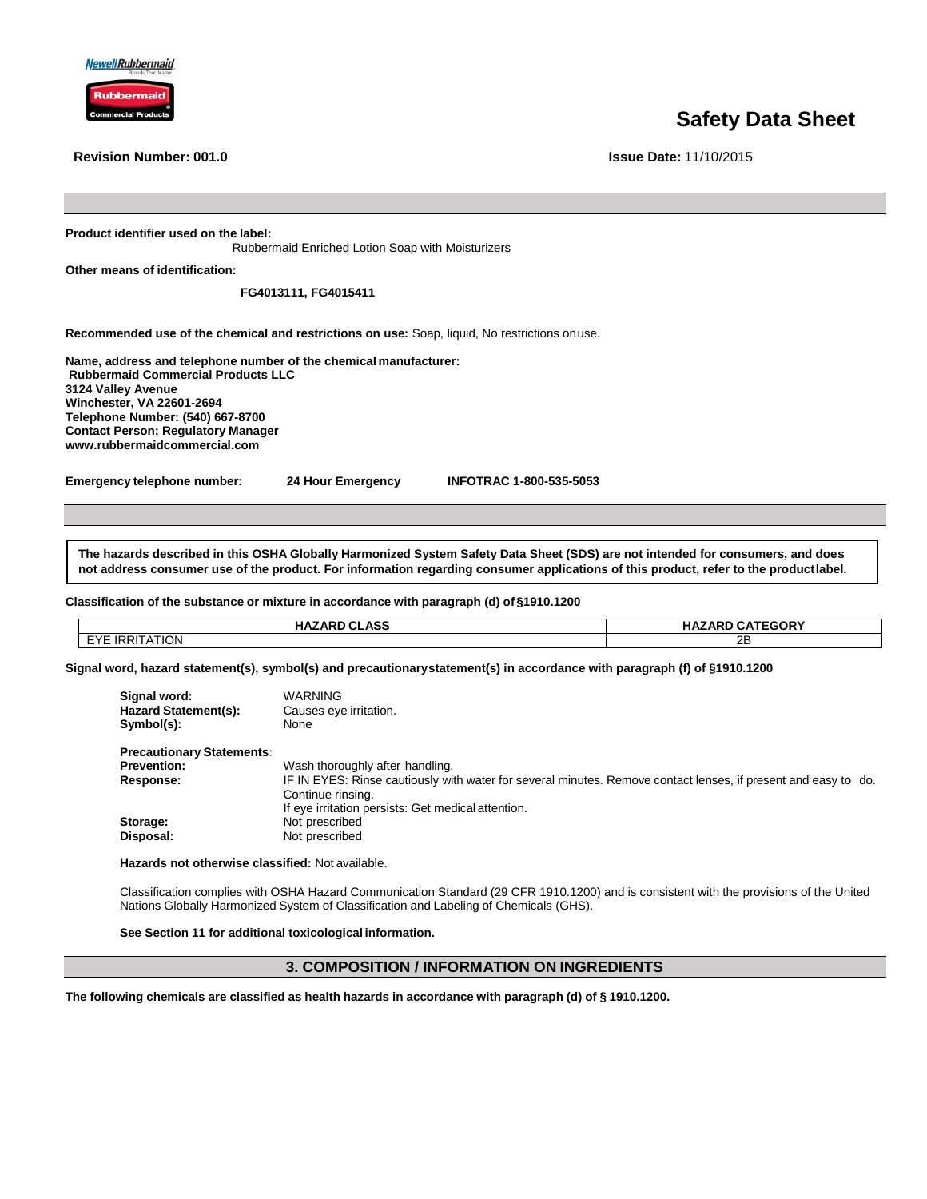



**Revision Number: 001.0 Issue Date:** 11/10/2015

# **Safety Data Sheet**

**Product identifier used on the label:**

Rubbermaid Enriched Lotion Soap with Moisturizers

**Other means of identification:**

# **FG4013111, FG4015411**

**Recommended use of the chemical and restrictions on use:** Soap, liquid, No restrictions onuse.

**Name, address and telephone number of the chemical manufacturer: Rubbermaid Commercial Products LLC 3124 Valley Avenue Winchester, VA 22601-2694 Telephone Number: (540) 667-8700 Contact Person; Regulatory Manager www.rubbermaidcommercial.com**

**Emergency telephone number: 24 Hour Emergency INFOTRAC 1-800-535-5053** 

**The hazards described in this OSHA Globally Harmonized System Safety Data Sheet (SDS) are not intended for consumers, and does not address consumer use of the product. For information regarding consumer applications of this product, refer to the productlabel.**

#### **Classification of the substance or mixture in accordance with paragraph (d) of §1910.1200**

| <b>HAZARD CLASS</b> | <b>HAZARD CATEGORY</b> |
|---------------------|------------------------|
| EYE IRRITATION      | 2Β                     |
|                     |                        |

**Signal word, hazard statement(s), symbol(s) and precautionarystatement(s) in accordance with paragraph (f) of §1910.1200**

| Signal word:<br><b>Hazard Statement(s):</b><br>Symbol(s): | WARNING<br>Causes eye irritation.<br>None                                                                                                                                                 |
|-----------------------------------------------------------|-------------------------------------------------------------------------------------------------------------------------------------------------------------------------------------------|
| <b>Precautionary Statements:</b>                          |                                                                                                                                                                                           |
| <b>Prevention:</b>                                        | Wash thoroughly after handling.                                                                                                                                                           |
| Response:                                                 | IF IN EYES: Rinse cautiously with water for several minutes. Remove contact lenses, if present and easy to do.<br>Continue rinsing.<br>If eye irritation persists: Get medical attention. |
| Storage:                                                  | Not prescribed                                                                                                                                                                            |
| Disposal:                                                 | Not prescribed                                                                                                                                                                            |

**Hazards not otherwise classified:** Not available.

Classification complies with OSHA Hazard Communication Standard (29 CFR 1910.1200) and is consistent with the provisions of the United Nations Globally Harmonized System of Classification and Labeling of Chemicals (GHS).

**See Section 11 for additional toxicological information.**

# **3. COMPOSITION / INFORMATION ON INGREDIENTS**

**The following chemicals are classified as health hazards in accordance with paragraph (d) of § 1910.1200.**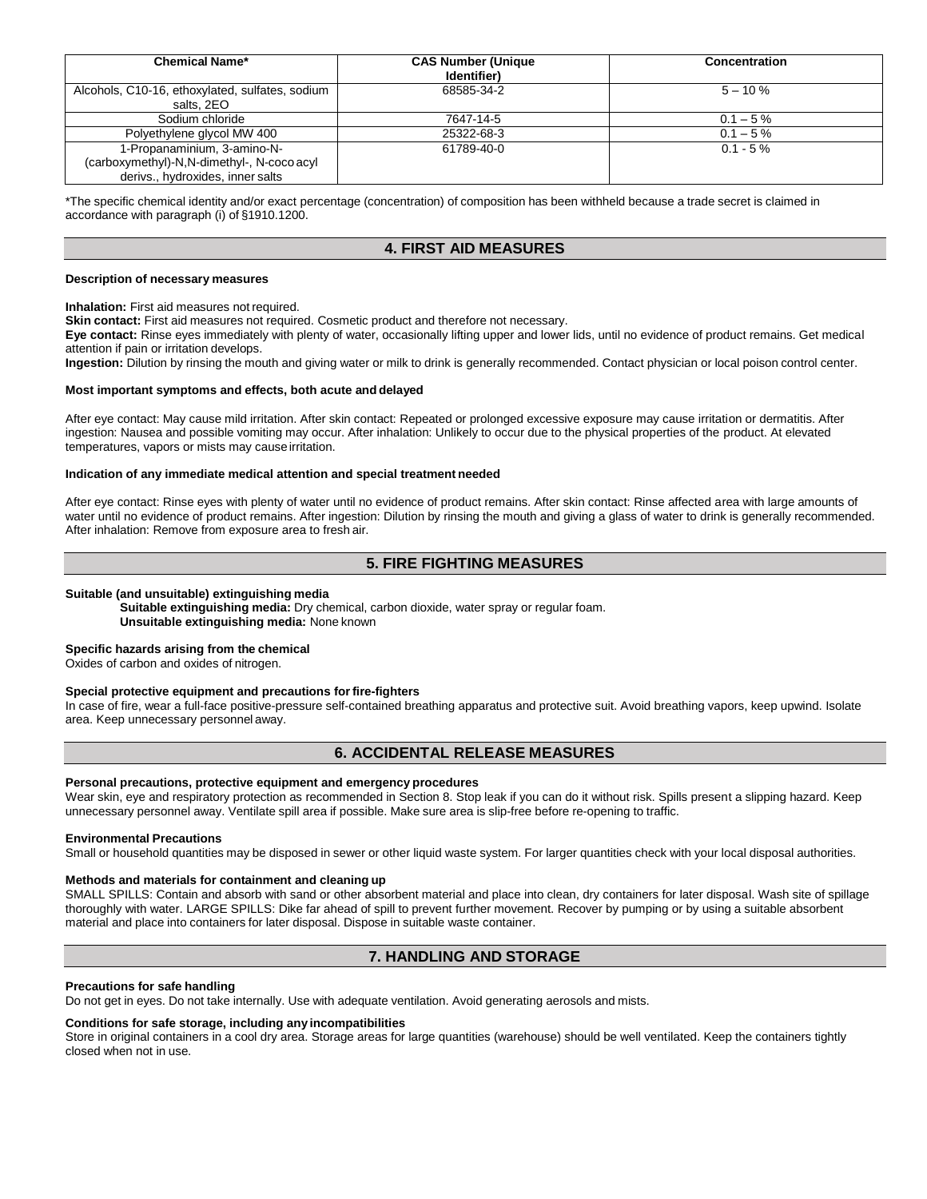| <b>Chemical Name*</b>                                                                                         | <b>CAS Number (Unique)</b><br>Identifier) | Concentration |
|---------------------------------------------------------------------------------------------------------------|-------------------------------------------|---------------|
| Alcohols, C10-16, ethoxylated, sulfates, sodium<br>salts, 2EO                                                 | 68585-34-2                                | $5 - 10 \%$   |
| Sodium chloride                                                                                               | 7647-14-5                                 | $0.1 - 5\%$   |
| Polyethylene glycol MW 400                                                                                    | 25322-68-3                                | $0.1 - 5\%$   |
| 1-Propanaminium, 3-amino-N-<br>(carboxymethyl)-N,N-dimethyl-, N-coco acyl<br>derivs., hydroxides, inner salts | 61789-40-0                                | $0.1 - 5\%$   |

\*The specific chemical identity and/or exact percentage (concentration) of composition has been withheld because a trade secret is claimed in accordance with paragraph (i) of §1910.1200.

# **4. FIRST AID MEASURES**

#### **Description of necessary measures**

**Inhalation:** First aid measures not required.

**Skin contact:** First aid measures not required. Cosmetic product and therefore not necessary.

**Eye contact:** Rinse eyes immediately with plenty of water, occasionally lifting upper and lower lids, until no evidence of product remains. Get medical attention if pain or irritation develops.

**Ingestion:** Dilution by rinsing the mouth and giving water or milk to drink is generally recommended. Contact physician or local poison control center.

#### **Most important symptoms and effects, both acute and delayed**

After eye contact: May cause mild irritation. After skin contact: Repeated or prolonged excessive exposure may cause irritation or dermatitis. After ingestion: Nausea and possible vomiting may occur. After inhalation: Unlikely to occur due to the physical properties of the product. At elevated temperatures, vapors or mists may causeirritation.

#### **Indication of any immediate medical attention and special treatment needed**

After eye contact: Rinse eyes with plenty of water until no evidence of product remains. After skin contact: Rinse affected area with large amounts of water until no evidence of product remains. After ingestion: Dilution by rinsing the mouth and giving a glass of water to drink is generally recommended. After inhalation: Remove from exposure area to fresh air.

# **5. FIRE FIGHTING MEASURES**

#### **Suitable (and unsuitable) extinguishing media**

**Suitable extinguishing media:** Dry chemical, carbon dioxide, water spray or regular foam. **Unsuitable extinguishing media:** None known

# **Specific hazards arising from the chemical**

Oxides of carbon and oxides of nitrogen.

# **Special protective equipment and precautions forfire-fighters**

In case of fire, wear a full-face positive-pressure self-contained breathing apparatus and protective suit. Avoid breathing vapors, keep upwind. Isolate area. Keep unnecessary personnel away.

# **6. ACCIDENTAL RELEASE MEASURES**

#### **Personal precautions, protective equipment and emergency procedures**

Wear skin, eye and respiratory protection as recommended in Section 8. Stop leak if you can do it without risk. Spills present a slipping hazard. Keep unnecessary personnel away. Ventilate spill area if possible. Make sure area is slip-free before re-opening to traffic.

#### **Environmental Precautions**

Small or household quantities may be disposed in sewer or other liquid waste system. For larger quantities check with your local disposal authorities.

#### **Methods and materials for containment and cleaning up**

SMALL SPILLS: Contain and absorb with sand or other absorbent material and place into clean, dry containers for later disposal. Wash site of spillage thoroughly with water. LARGE SPILLS: Dike far ahead of spill to prevent further movement. Recover by pumping or by using a suitable absorbent material and place into containers for later disposal. Dispose in suitable waste container.

# **7. HANDLING AND STORAGE**

#### **Precautions for safe handling**

Do not get in eyes. Do not take internally. Use with adequate ventilation. Avoid generating aerosols and mists.

# **Conditions for safe storage, including any incompatibilities**

Store in original containers in a cool dry area. Storage areas for large quantities (warehouse) should be well ventilated. Keep the containers tightly closed when not in use.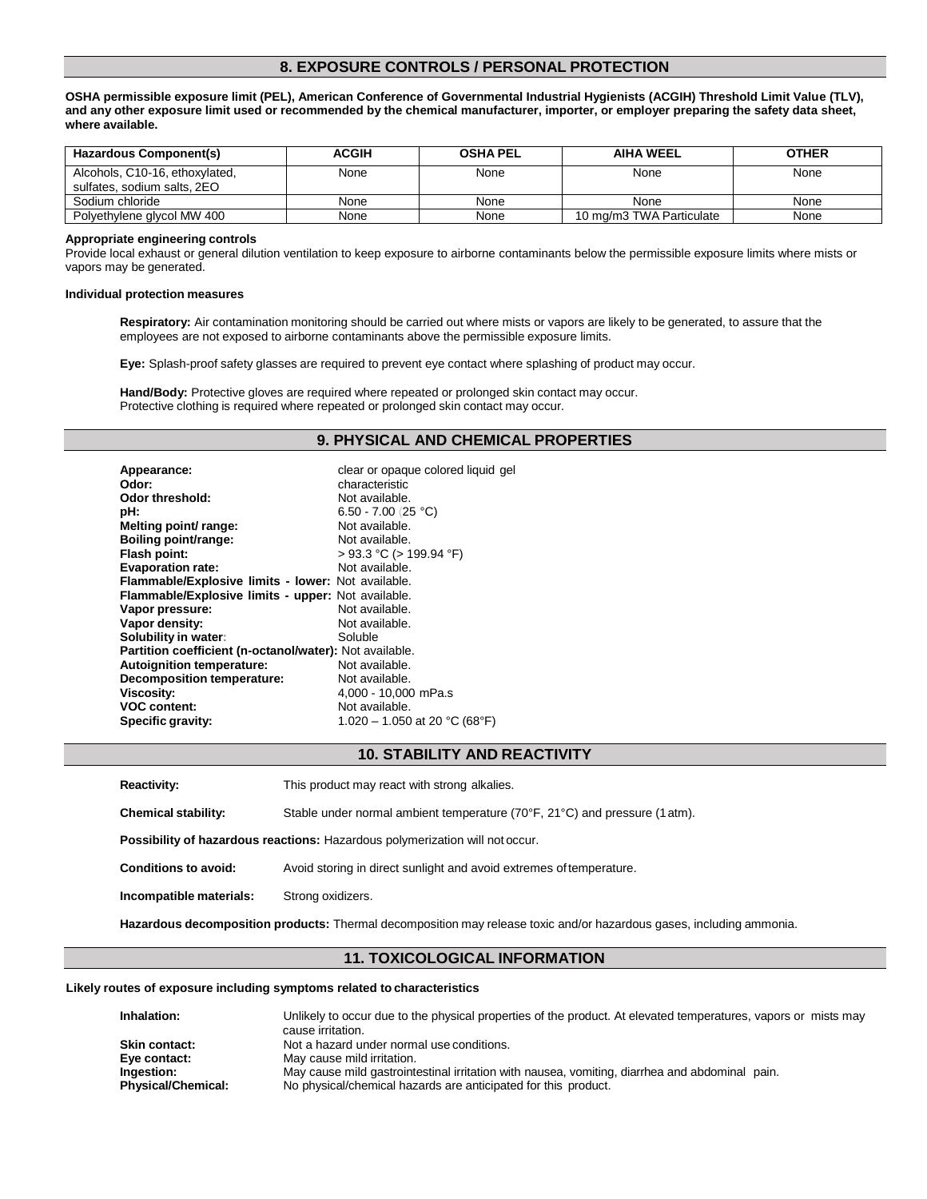# **8. EXPOSURE CONTROLS / PERSONAL PROTECTION**

**OSHA permissible exposure limit (PEL), American Conference of Governmental Industrial Hygienists (ACGIH) Threshold Limit Value (TLV), and any other exposure limit used or recommended by the chemical manufacturer, importer, or employer preparing the safety data sheet, where available.**

| Hazardous Component(s)                                        | <b>ACGIH</b> | <b>OSHA PEL</b> | <b>AIHA WEEL</b>         | <b>OTHER</b> |
|---------------------------------------------------------------|--------------|-----------------|--------------------------|--------------|
| Alcohols, C10-16, ethoxylated,<br>sulfates, sodium salts, 2EO | None         | None            | None                     | None         |
| Sodium chloride                                               | None         | None            | None                     | None         |
| Polyethylene glycol MW 400                                    | None         | None            | 10 mg/m3 TWA Particulate | None         |

#### **Appropriate engineering controls**

Provide local exhaust or general dilution ventilation to keep exposure to airborne contaminants below the permissible exposure limits where mists or vapors may be generated.

#### **Individual protection measures**

**Respiratory:** Air contamination monitoring should be carried out where mists or vapors are likely to be generated, to assure that the employees are not exposed to airborne contaminants above the permissible exposure limits.

**Eye:** Splash-proof safety glasses are required to prevent eye contact where splashing of product may occur.

Hand/Body: Protective gloves are required where repeated or prolonged skin contact may occur. Protective clothing is required where repeated or prolonged skin contact may occur.

### **9. PHYSICAL AND CHEMICAL PROPERTIES**

| Appearance:                                             | clear or opaque colored liquid gel |
|---------------------------------------------------------|------------------------------------|
| Odor:                                                   | characteristic                     |
| Odor threshold:                                         | Not available.                     |
| pH:                                                     | 6.50 - 7.00 (25 °C)                |
| Melting point/ range:                                   | Not available.                     |
| Boiling point/range:                                    | Not available.                     |
| Flash point:                                            | $>$ 93.3 °C ( $>$ 199.94 °F)       |
| <b>Evaporation rate:</b>                                | Not available.                     |
| Flammable/Explosive limits - lower: Not available.      |                                    |
| Flammable/Explosive limits - upper: Not available.      |                                    |
| Vapor pressure:                                         | Not available.                     |
| Vapor density:                                          | Not available.                     |
| Solubility in water:                                    | Soluble                            |
| Partition coefficient (n-octanol/water): Not available. |                                    |
| <b>Autoignition temperature:</b>                        | Not available.                     |
| <b>Decomposition temperature:</b>                       | Not available.                     |
| <b>Viscosity:</b>                                       | 4,000 - 10,000 mPa.s               |
| <b>VOC content:</b>                                     | Not available.                     |
| Specific gravity:                                       | 1.020 – 1.050 at 20 °C (68°F)      |

### **10. STABILITY AND REACTIVITY**

**Reactivity:** This product may react with strong alkalies.

**Chemical stability:** Stable under normal ambient temperature (70°F, 21°C) and pressure (1atm).

**Possibility of hazardous reactions:** Hazardous polymerization will not occur.

**Conditions to avoid:** Avoid storing in direct sunlight and avoid extremes oftemperature.

**Incompatible materials:** Strong oxidizers.

**Hazardous decomposition products:** Thermal decomposition may release toxic and/or hazardous gases, including ammonia.

## **11. TOXICOLOGICAL INFORMATION**

#### **Likely routes of exposure including symptoms related to characteristics**

| Inhalation:               | Unlikely to occur due to the physical properties of the product. At elevated temperatures, vapors or mists may |
|---------------------------|----------------------------------------------------------------------------------------------------------------|
|                           | cause irritation.                                                                                              |
| <b>Skin contact:</b>      | Not a hazard under normal use conditions.                                                                      |
| Eve contact:              | May cause mild irritation.                                                                                     |
| Ingestion:                | May cause mild gastrointestinal irritation with nausea, vomiting, diarrhea and abdominal pain.                 |
| <b>Physical/Chemical:</b> | No physical/chemical hazards are anticipated for this product.                                                 |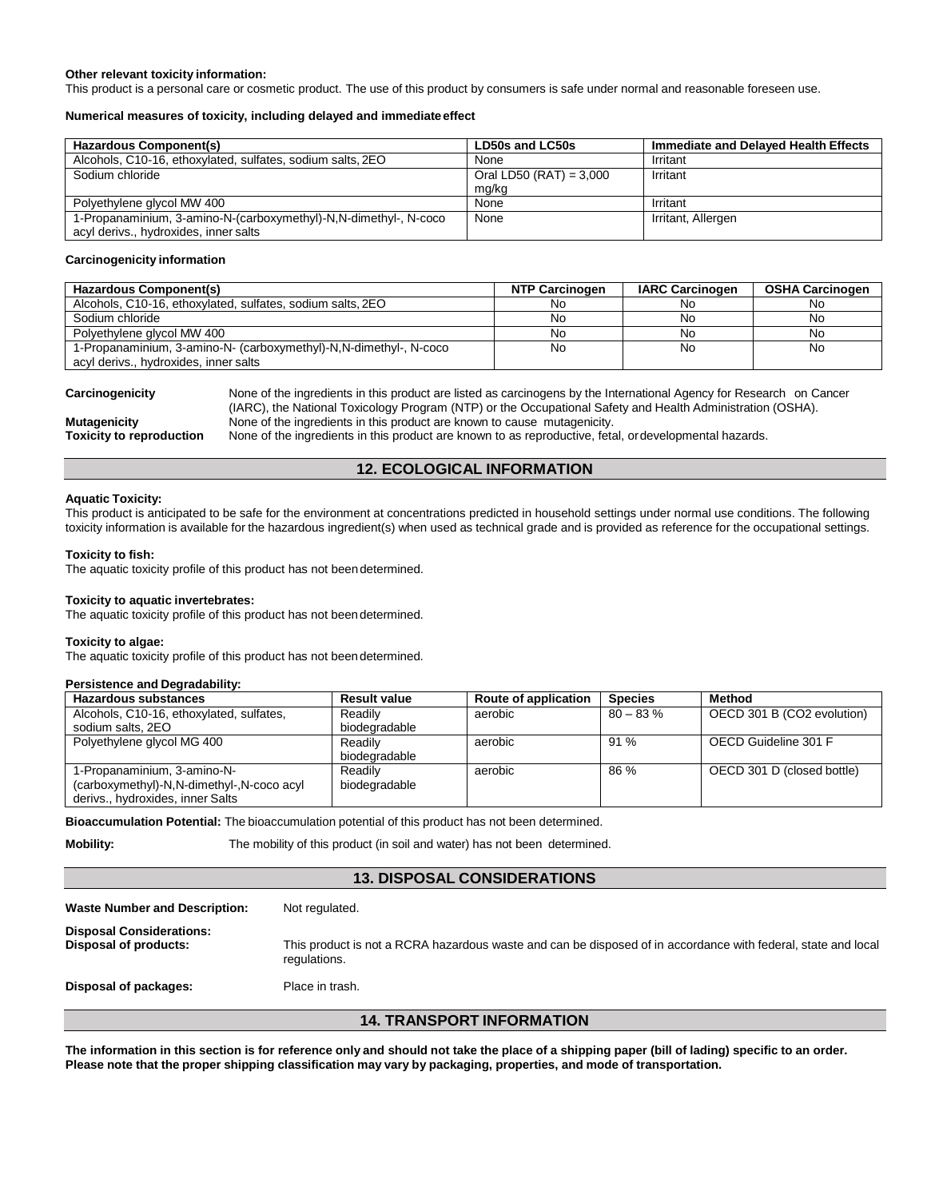#### **Other relevant toxicity information:**

This product is a personal care or cosmetic product. The use of this product by consumers is safe under normal and reasonable foreseen use.

#### **Numerical measures of toxicity, including delayed and immediate effect**

| Hazardous Component(s)                                           | LD50s and LC50s           | Immediate and Delaved Health Effects |
|------------------------------------------------------------------|---------------------------|--------------------------------------|
| Alcohols, C10-16, ethoxylated, sulfates, sodium salts, 2EO       | None                      | Irritant                             |
| Sodium chloride                                                  | Oral LD50 (RAT) = $3,000$ | Irritant                             |
|                                                                  | mg/kg                     |                                      |
| Polyethylene glycol MW 400                                       | None                      | Irritant                             |
| 1-Propanaminium, 3-amino-N-(carboxymethyl)-N,N-dimethyl-, N-coco | None                      | Irritant, Allergen                   |
| acyl derivs., hydroxides, inner salts                            |                           |                                      |

#### **Carcinogenicity information**

| Hazardous Component(s)                                             | <b>NTP Carcinogen</b> | <b>IARC Carcinogen</b> | <b>OSHA Carcinogen</b> |
|--------------------------------------------------------------------|-----------------------|------------------------|------------------------|
| Alcohols, C10-16, ethoxylated, sulfates, sodium salts, 2EO         | No                    | No                     | No                     |
| Sodium chloride                                                    | No                    | No                     | No                     |
| Polyethylene glycol MW 400                                         | No                    | No                     | No                     |
| 1-Propanaminium, 3-amino-N- (carboxymethyl)-N, N-dimethyl-, N-coco | No                    | No                     | No                     |
| acyl derivs., hydroxides, inner salts                              |                       |                        |                        |

**Carcinogenicity** None of the ingredients in this product are listed as carcinogens by the International Agency for Research on Cancer (IARC), the National Toxicology Program (NTP) or the Occupational Safety and Health Administration (OSHA). **Mutagenicity** None of the ingredients in this product are known to cause mutagenicity.<br> **Toxicity to reproduction** None of the ingredients in this product are known to as reproductive, fetally

None of the ingredients in this product are known to as reproductive, fetal, ordevelopmental hazards.

# **12. ECOLOGICAL INFORMATION**

#### **Aquatic Toxicity:**

This product is anticipated to be safe for the environment at concentrations predicted in household settings under normal use conditions. The following toxicity information is available for the hazardous ingredient(s) when used as technical grade and is provided as reference for the occupational settings.

#### **Toxicity to fish:**

The aquatic toxicity profile of this product has not beendetermined.

#### **Toxicity to aquatic invertebrates:**

The aquatic toxicity profile of this product has not beendetermined.

#### **Toxicity to algae:**

The aquatic toxicity profile of this product has not beendetermined.

#### **Persistence and Degradability:**

| <b>Hazardous substances</b>               | <b>Result value</b> | Route of application | <b>Species</b> | Method                     |
|-------------------------------------------|---------------------|----------------------|----------------|----------------------------|
| Alcohols, C10-16, ethoxylated, sulfates,  | Readily             | aerobic              | $80 - 83\%$    | OECD 301 B (CO2 evolution) |
| sodium salts, 2EO                         | biodegradable       |                      |                |                            |
| Polyethylene glycol MG 400                | Readily             | aerobic              | 91%            | OECD Guideline 301 F       |
|                                           | biodegradable       |                      |                |                            |
| 1-Propanaminium, 3-amino-N-               | Readily             | aerobic              | 86 %           | OECD 301 D (closed bottle) |
| (carboxymethyl)-N,N-dimethyl-,N-coco acyl | biodegradable       |                      |                |                            |
| derivs., hydroxides, inner Salts          |                     |                      |                |                            |

**Bioaccumulation Potential:** The bioaccumulation potential of this product has not been determined.

**Mobility:** The mobility of this product (in soil and water) has not been determined.

# **13. DISPOSAL CONSIDERATIONS**

| <b>14. TRANSPORT INFORMATION</b>                         |                                                                                                                               |  |
|----------------------------------------------------------|-------------------------------------------------------------------------------------------------------------------------------|--|
| Disposal of packages:                                    | Place in trash.                                                                                                               |  |
| <b>Disposal Considerations:</b><br>Disposal of products: | This product is not a RCRA hazardous waste and can be disposed of in accordance with federal, state and local<br>regulations. |  |
| <b>Waste Number and Description:</b>                     | Not regulated.                                                                                                                |  |

The information in this section is for reference only and should not take the place of a shipping paper (bill of lading) specific to an order. Please note that the proper shipping classification may vary by packaging, properties, and mode of transportation.